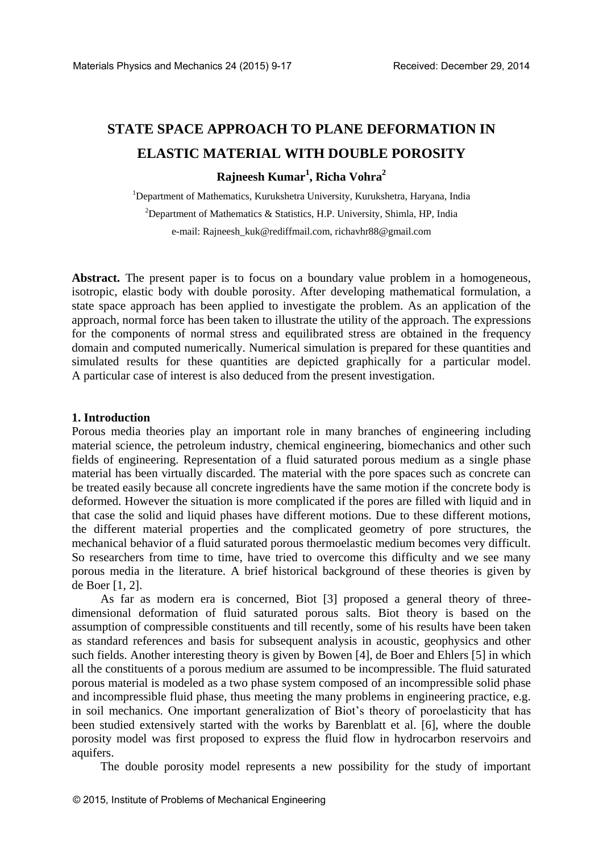# **STATE SPACE APPROACH TO PLANE DEFORMATION IN ELASTIC MATERIAL WITH DOUBLE POROSITY Rajneesh Kumar<sup>1</sup> , Richa Vohra<sup>2</sup>**

<sup>1</sup>Department of Mathematics, Kurukshetra University, Kurukshetra, Haryana, India <sup>2</sup>Department of Mathematics & Statistics, H.P. University, Shimla, HP, India e-mail: Rajneesh\_kuk@rediffmail.com, richavhr88@gmail.com

Abstract. The present paper is to focus on a boundary value problem in a homogeneous, isotropic, elastic body with double porosity. After developing mathematical formulation, a state space approach has been applied to investigate the problem. As an application of the approach, normal force has been taken to illustrate the utility of the approach. The expressions for the components of normal stress and equilibrated stress are obtained in the frequency domain and computed numerically. Numerical simulation is prepared for these quantities and simulated results for these quantities are depicted graphically for a particular model. A particular case of interest is also deduced from the present investigation.

#### **1. Introduction**

Porous media theories play an important role in many branches of engineering including material science, the petroleum industry, chemical engineering, biomechanics and other such fields of engineering. Representation of a fluid saturated porous medium as a single phase material has been virtually discarded. The material with the pore spaces such as concrete can be treated easily because all concrete ingredients have the same motion if the concrete body is deformed. However the situation is more complicated if the pores are filled with liquid and in that case the solid and liquid phases have different motions. Due to these different motions, the different material properties and the complicated geometry of pore structures, the mechanical behavior of a fluid saturated porous thermoelastic medium becomes very difficult. So researchers from time to time, have tried to overcome this difficulty and we see many porous media in the literature. A brief historical background of these theories is given by de Boer [1, 2].

As far as modern era is concerned, Biot [3] proposed a general theory of threedimensional deformation of fluid saturated porous salts. Biot theory is based on the assumption of compressible constituents and till recently, some of his results have been taken as standard references and basis for subsequent analysis in acoustic, geophysics and other such fields. Another interesting theory is given by Bowen [4], de Boer and Ehlers [5] in which all the constituents of a porous medium are assumed to be incompressible. The fluid saturated porous material is modeled as a two phase system composed of an incompressible solid phase and incompressible fluid phase, thus meeting the many problems in engineering practice, e.g. in soil mechanics. One important generalization of Biot's theory of poroelasticity that has been studied extensively started with the works by Barenblatt et al. [6], where the double porosity model was first proposed to express the fluid flow in hydrocarbon reservoirs and aquifers.

The double porosity model represents a new possibility for the study of important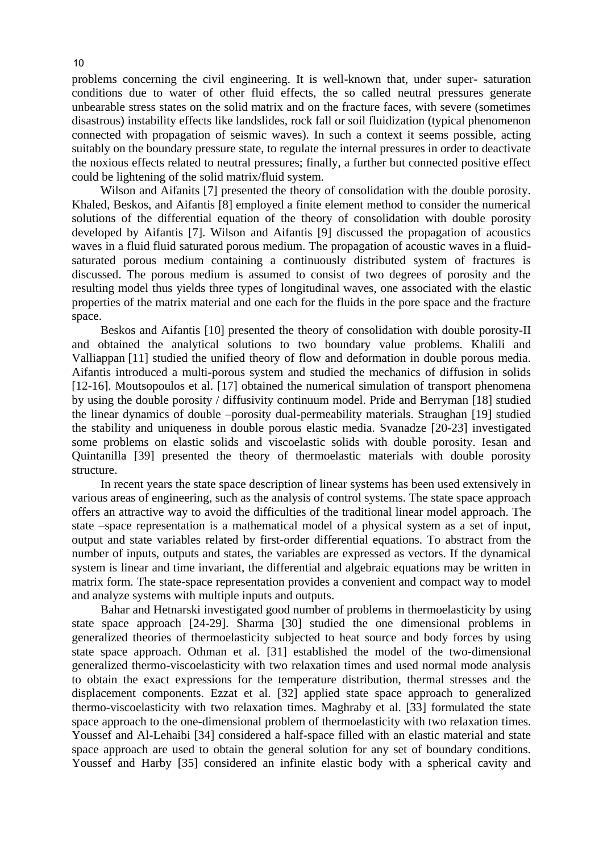problems concerning the civil engineering. It is well-known that, under super- saturation conditions due to water of other fluid effects, the so called neutral pressures generate unbearable stress states on the solid matrix and on the fracture faces, with severe (sometimes disastrous) instability effects like landslides, rock fall or soil fluidization (typical phenomenon connected with propagation of seismic waves). In such a context it seems possible, acting suitably on the boundary pressure state, to regulate the internal pressures in order to deactivate the noxious effects related to neutral pressures; finally, a further but connected positive effect could be lightening of the solid matrix/fluid system.

Wilson and Aifanits [7] presented the theory of consolidation with the double porosity. Khaled, Beskos, and Aifantis [8] employed a finite element method to consider the numerical solutions of the differential equation of the theory of consolidation with double porosity developed by Aifantis [7]. Wilson and Aifantis [9] discussed the propagation of acoustics waves in a fluid fluid saturated porous medium. The propagation of acoustic waves in a fluidsaturated porous medium containing a continuously distributed system of fractures is discussed. The porous medium is assumed to consist of two degrees of porosity and the resulting model thus yields three types of longitudinal waves, one associated with the elastic properties of the matrix material and one each for the fluids in the pore space and the fracture space.

Beskos and Aifantis [10] presented the theory of consolidation with double porosity-II and obtained the analytical solutions to two boundary value problems. Khalili and Valliappan [11] studied the unified theory of flow and deformation in double porous media. Aifantis introduced a multi-porous system and studied the mechanics of diffusion in solids [12-16]. Moutsopoulos et al. [17] obtained the numerical simulation of transport phenomena by using the double porosity / diffusivity continuum model. Pride and Berryman [18] studied the linear dynamics of double –porosity dual-permeability materials. Straughan [19] studied the stability and uniqueness in double porous elastic media. Svanadze [20-23] investigated some problems on elastic solids and viscoelastic solids with double porosity. Iesan and Quintanilla [39] presented the theory of thermoelastic materials with double porosity structure.

In recent years the state space description of linear systems has been used extensively in various areas of engineering, such as the analysis of control systems. The state space approach offers an attractive way to avoid the difficulties of the traditional linear model approach. The state –space representation is a mathematical model of a physical system as a set of input, output and state variables related by first-order differential equations. To abstract from the number of inputs, outputs and states, the variables are expressed as vectors. If the dynamical system is linear and time invariant, the differential and algebraic equations may be written in matrix form. The state-space representation provides a convenient and compact way to model and analyze systems with multiple inputs and outputs.

Bahar and Hetnarski investigated good number of problems in thermoelasticity by using state space approach [24-29]. Sharma [30] studied the one dimensional problems in generalized theories of thermoelasticity subjected to heat source and body forces by using state space approach. Othman et al. [31] established the model of the two-dimensional generalized thermo-viscoelasticity with two relaxation times and used normal mode analysis to obtain the exact expressions for the temperature distribution, thermal stresses and the displacement components. Ezzat et al. [32] applied state space approach to generalized thermo-viscoelasticity with two relaxation times. Maghraby et al. [33] formulated the state space approach to the one-dimensional problem of thermoelasticity with two relaxation times. Youssef and Al-Lehaibi [34] considered a half-space filled with an elastic material and state space approach are used to obtain the general solution for any set of boundary conditions. Youssef and Harby [35] considered an infinite elastic body with a spherical cavity and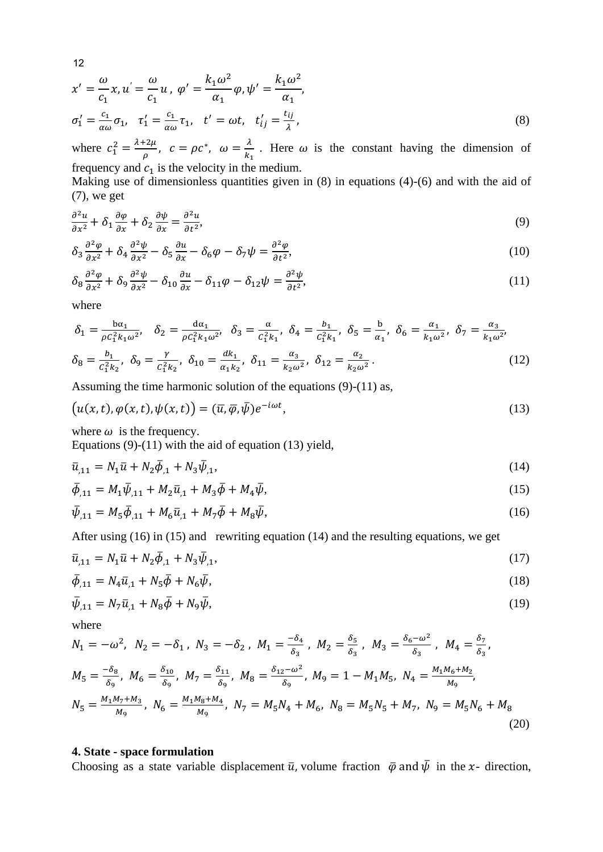$$
x' = \frac{\omega}{c_1} x, u' = \frac{\omega}{c_1} u, \varphi' = \frac{k_1 \omega^2}{\alpha_1} \varphi, \psi' = \frac{k_1 \omega^2}{\alpha_1},
$$
  

$$
\sigma_1' = \frac{c_1}{\alpha \omega} \sigma_1, \quad \tau_1' = \frac{c_1}{\alpha \omega} \tau_1, \quad t' = \omega t, \quad t'_{ij} = \frac{t_{ij}}{\lambda},
$$
 (8)

where  $c_1^2 = \frac{\lambda}{\lambda}$  $\frac{12\mu}{\rho}$ ,  $c = \rho c^*$ ,  $\omega = \frac{\lambda}{k}$  $\frac{\lambda}{k_1}$ . Here  $\omega$  is the constant having the dimension of frequency and  $c_1$  is the velocity in the medium.

Making use of dimensionless quantities given in  $(8)$  in equations  $(4)-(6)$  and with the aid of (7), we get

$$
\frac{\partial^2 u}{\partial x^2} + \delta_1 \frac{\partial \varphi}{\partial x} + \delta_2 \frac{\partial \psi}{\partial x} = \frac{\partial^2 u}{\partial t^2},\tag{9}
$$

$$
\delta_3 \frac{\partial^2 \varphi}{\partial x^2} + \delta_4 \frac{\partial^2 \psi}{\partial x^2} - \delta_5 \frac{\partial u}{\partial x} - \delta_6 \varphi - \delta_7 \psi = \frac{\partial^2 \varphi}{\partial t^2},\tag{10}
$$

$$
\delta_8 \frac{\partial^2 \varphi}{\partial x^2} + \delta_9 \frac{\partial^2 \psi}{\partial x^2} - \delta_{10} \frac{\partial u}{\partial x} - \delta_{11} \varphi - \delta_{12} \psi = \frac{\partial^2 \psi}{\partial t^2},\tag{11}
$$

where

$$
\delta_1 = \frac{b\alpha_1}{\rho c_1^2 k_1 \omega^2}, \quad \delta_2 = \frac{d\alpha_1}{\rho c_1^2 k_1 \omega^2}, \quad \delta_3 = \frac{\alpha}{c_1^2 k_1}, \quad \delta_4 = \frac{b_1}{c_1^2 k_1}, \quad \delta_5 = \frac{b}{\alpha_1}, \quad \delta_6 = \frac{\alpha_1}{k_1 \omega^2}, \quad \delta_7 = \frac{\alpha_3}{k_1 \omega^2},
$$
\n
$$
\delta_8 = \frac{b_1}{c_1^2 k_2}, \quad \delta_9 = \frac{\gamma}{c_1^2 k_2}, \quad \delta_{10} = \frac{d k_1}{\alpha_1 k_2}, \quad \delta_{11} = \frac{\alpha_3}{k_2 \omega^2}, \quad \delta_{12} = \frac{\alpha_2}{k_2 \omega^2}.
$$
\n(12)

Assuming the time harmonic solution of the equations (9)-(11) as,

$$
(u(x,t), \varphi(x,t), \psi(x,t)) = (\overline{u}, \overline{\varphi}, \overline{\psi})e^{-i\omega t}, \qquad (13)
$$

where  $\omega$  is the frequency.

Equations  $(9)-(11)$  with the aid of equation  $(13)$  yield,

$$
\bar{u}_{,11} = N_1 \bar{u} + N_2 \bar{\phi}_{,1} + N_3 \bar{\psi}_{,1},\tag{14}
$$

$$
\bar{\phi}_{,11} = M_1 \bar{\psi}_{,11} + M_2 \bar{u}_{,1} + M_3 \bar{\phi} + M_4 \bar{\psi},\tag{15}
$$

$$
\bar{\psi}_{,11} = M_5 \bar{\phi}_{,11} + M_6 \bar{u}_{,1} + M_7 \bar{\phi} + M_8 \bar{\psi},\tag{16}
$$

After using (16) in (15) and rewriting equation (14) and the resulting equations, we get

$$
\bar{u}_{,11} = N_1 \bar{u} + N_2 \bar{\phi}_{,1} + N_3 \bar{\psi}_{,1},\tag{17}
$$

$$
\bar{\phi}_{,11} = N_4 \bar{u}_{,1} + N_5 \bar{\phi} + N_6 \bar{\psi},\tag{18}
$$

$$
\bar{\psi}_{,11} = N_7 \bar{u}_{,1} + N_8 \bar{\phi} + N_9 \bar{\psi},\tag{19}
$$

where

$$
N_1 = -\omega^2, \ N_2 = -\delta_1, \ N_3 = -\delta_2, \ M_1 = \frac{-\delta_4}{\delta_3}, \ M_2 = \frac{\delta_5}{\delta_3}, \ M_3 = \frac{\delta_6 - \omega^2}{\delta_3}, \ M_4 = \frac{\delta_7}{\delta_3},
$$
  
\n
$$
M_5 = \frac{-\delta_8}{\delta_9}, \ M_6 = \frac{\delta_{10}}{\delta_9}, \ M_7 = \frac{\delta_{11}}{\delta_9}, \ M_8 = \frac{\delta_{12} - \omega^2}{\delta_9}, \ M_9 = 1 - M_1 M_5, \ N_4 = \frac{M_1 M_6 + M_2}{M_9},
$$
  
\n
$$
N_5 = \frac{M_1 M_7 + M_3}{M_9}, \ N_6 = \frac{M_1 M_8 + M_4}{M_9}, \ N_7 = M_5 N_4 + M_6, \ N_8 = M_5 N_5 + M_7, \ N_9 = M_5 N_6 + M_8
$$
  
\n(20)

## **4. State - space formulation**

Choosing as a state variable displacement  $\bar{u}$ , volume fraction  $\bar{\varphi}$  and  $\bar{\psi}$  in the x- direction,

12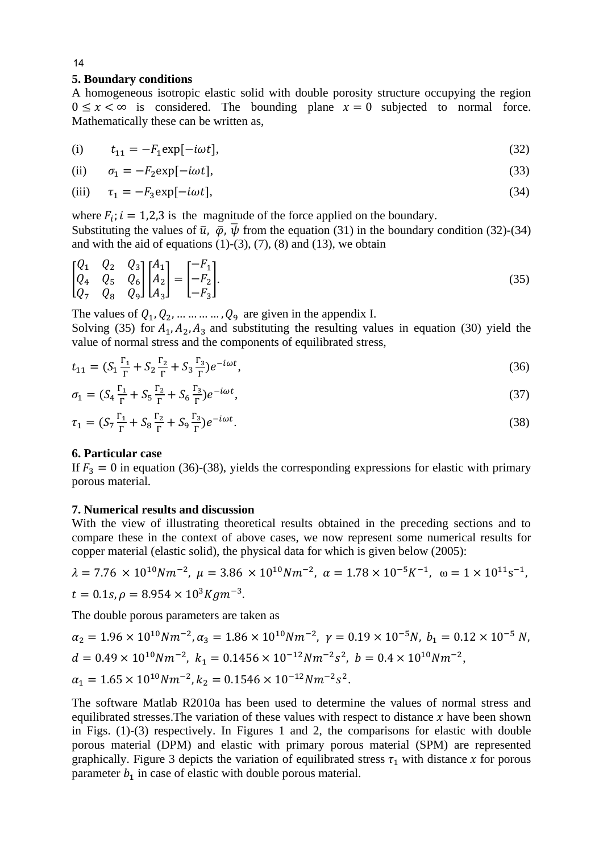## **5. Boundary conditions**

A homogeneous isotropic elastic solid with double porosity structure occupying the region  $0 \le x < \infty$  is considered. The bounding plane  $x = 0$  subjected to normal force. Mathematically these can be written as,

(i) 
$$
t_{11} = -F_1 \exp[-i\omega t],
$$
 (32)

(ii) 
$$
\sigma_1 = -F_2 \exp[-i\omega t], \tag{33}
$$

$$
(iii) \quad \tau_1 = -F_3 \exp[-i\omega t],\tag{34}
$$

where  $F_i$ ;  $i = 1,2,3$  is the magnitude of the force applied on the boundary.

Substituting the values of  $\bar{u}$ ,  $\bar{\varphi}$ ,  $\bar{\psi}$  from the equation (31) in the boundary condition (32)-(34) and with the aid of equations  $(1)-(3)$ ,  $(7)$ ,  $(8)$  and  $(13)$ , we obtain

$$
\begin{bmatrix} Q_1 & Q_2 & Q_3 \ Q_4 & Q_5 & Q_6 \ Q_7 & Q_8 & Q_9 \end{bmatrix} \begin{bmatrix} A_1 \\ A_2 \\ A_3 \end{bmatrix} = \begin{bmatrix} -F_1 \\ -F_2 \\ -F_3 \end{bmatrix} . \tag{35}
$$

The values of  $Q_1, Q_2, \dots, \dots, Q_9$  are given in the appendix I.

Solving (35) for  $A_1$ ,  $A_2$ ,  $A_3$  and substituting the resulting values in equation (30) yield the value of normal stress and the components of equilibrated stress,

$$
t_{11} = (S_1 \frac{\Gamma_1}{\Gamma} + S_2 \frac{\Gamma_2}{\Gamma} + S_3 \frac{\Gamma_3}{\Gamma}) e^{-i\omega t}, \tag{36}
$$

$$
\sigma_1 = (S_4 \frac{\Gamma_1}{\Gamma} + S_5 \frac{\Gamma_2}{\Gamma} + S_6 \frac{\Gamma_3}{\Gamma}) e^{-i\omega t},\tag{37}
$$

$$
\tau_1 = (S_7 \frac{\Gamma_1}{\Gamma} + S_8 \frac{\Gamma_2}{\Gamma} + S_9 \frac{\Gamma_3}{\Gamma}) e^{-i\omega t}.
$$
\n(38)

## **6. Particular case**

If  $F_3 = 0$  in equation (36)-(38), yields the corresponding expressions for elastic with primary porous material.

## **7. Numerical results and discussion**

With the view of illustrating theoretical results obtained in the preceding sections and to compare these in the context of above cases, we now represent some numerical results for copper material (elastic solid), the physical data for which is given below (2005):

$$
\lambda = 7.76 \times 10^{10} N m^{-2}, \ \mu = 3.86 \times 10^{10} N m^{-2}, \ \alpha = 1.78 \times 10^{-5} K^{-1}, \ \omega = 1 \times 10^{11} s^{-1},
$$
  

$$
t = 0.1 s, \rho = 8.954 \times 10^{3} K g m^{-3}.
$$

The double porous parameters are taken as

$$
\alpha_2 = 1.96 \times 10^{10} N m^{-2}, \alpha_3 = 1.86 \times 10^{10} N m^{-2}, \gamma = 0.19 \times 10^{-5} N, b_1 = 0.12 \times 10^{-5} N, \nd = 0.49 \times 10^{10} N m^{-2}, k_1 = 0.1456 \times 10^{-12} N m^{-2} s^2, b = 0.4 \times 10^{10} N m^{-2}, \n\alpha_1 = 1.65 \times 10^{10} N m^{-2}, k_2 = 0.1546 \times 10^{-12} N m^{-2} s^2.
$$

The software Matlab R2010a has been used to determine the values of normal stress and equilibrated stresses. The variation of these values with respect to distance  $x$  have been shown in Figs. (1)-(3) respectively. In Figures 1 and 2, the comparisons for elastic with double porous material (DPM) and elastic with primary porous material (SPM) are represented graphically. Figure 3 depicts the variation of equilibrated stress  $\tau_1$  with distance x for porous parameter  $b_1$  in case of elastic with double porous material.

14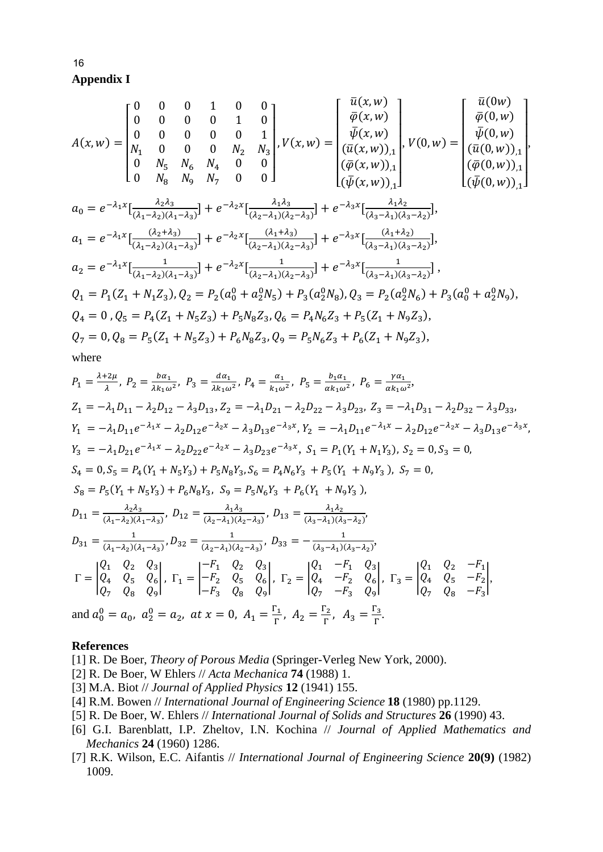**Appendix I**

16

$$
A(x,w) = \begin{bmatrix} 0 & 0 & 0 & 1 & 0 & 0 \\ 0 & 0 & 0 & 0 & 1 & 0 \\ 0 & 0 & 0 & 0 & 0 & 1 \\ N_1 & 0 & 0 & 0 & N_2 & N_3 \\ 0 & N_5 & N_6 & N_4 & 0 & 0 \\ 0 & N_8 & N_9 & N_7 & 0 & 0 \end{bmatrix}, V(x,w) = \begin{bmatrix} \bar{u}(x,w) \\ \bar{\varphi}(x,w) \\ \bar{\psi}(x,w) \\ (\bar{u}(x,w))_{,1} \\ (\bar{\varphi}(x,w))_{,1} \\ (\bar{\psi}(x,w))_{,1} \end{bmatrix}, V(0,w) = \begin{bmatrix} \bar{u}(0w) \\ \bar{\varphi}(0,w) \\ \bar{\psi}(0,w) \\ (\bar{\psi}(0,w))_{,1} \\ (\bar{\psi}(0,w))_{,1} \\ (\bar{\psi}(0,w))_{,1} \end{bmatrix},
$$

$$
a_0 = e^{-\lambda_1 x} \left[ \frac{\lambda_2 \lambda_3}{(\lambda_1 - \lambda_2)(\lambda_1 - \lambda_3)} \right] + e^{-\lambda_2 x} \left[ \frac{\lambda_1 \lambda_3}{(\lambda_2 - \lambda_1)(\lambda_2 - \lambda_3)} \right] + e^{-\lambda_3 x} \left[ \frac{\lambda_1 \lambda_2}{(\lambda_3 - \lambda_1)(\lambda_3 - \lambda_2)} \right],
$$
  
\n
$$
a_1 = e^{-\lambda_1 x} \left[ \frac{(\lambda_2 + \lambda_3)}{(\lambda_1 - \lambda_2)(\lambda_1 - \lambda_3)} \right] + e^{-\lambda_2 x} \left[ \frac{(\lambda_1 + \lambda_3)}{(\lambda_2 - \lambda_1)(\lambda_2 - \lambda_3)} \right] + e^{-\lambda_3 x} \left[ \frac{(\lambda_1 + \lambda_2)}{(\lambda_3 - \lambda_1)(\lambda_3 - \lambda_2)} \right],
$$
  
\n
$$
a_2 = e^{-\lambda_1 x} \left[ \frac{1}{(\lambda_1 - \lambda_2)(\lambda_1 - \lambda_3)} \right] + e^{-\lambda_2 x} \left[ \frac{1}{(\lambda_2 - \lambda_1)(\lambda_2 - \lambda_3)} \right] + e^{-\lambda_3 x} \left[ \frac{1}{(\lambda_3 - \lambda_1)(\lambda_3 - \lambda_2)} \right],
$$
  
\n
$$
Q_1 = P_1 (Z_1 + N_1 Z_3), Q_2 = P_2 (a_0^0 + a_2^0 N_5) + P_3 (a_2^0 N_8), Q_3 = P_2 (a_2^0 N_6) + P_3 (a_0^0 + a_2^0 N_9),
$$
  
\n
$$
Q_4 = 0, Q_5 = P_4 (Z_1 + N_5 Z_3) + P_5 N_8 Z_3, Q_6 = P_4 N_6 Z_3 + P_5 (Z_1 + N_9 Z_3),
$$
  
\n
$$
Q_7 = 0, Q_8 = P_5 (Z_1 + N_5 Z_3) + P_6 N_8 Z_3, Q_9 = P_5 N_6 Z_3 + P_6 (Z_1 + N_9 Z_3),
$$
  
\nwhere

$$
P_{1} = \frac{\lambda + 2\mu}{\lambda}, P_{2} = \frac{b\alpha_{1}}{\lambda k_{1}\omega^{2}}, P_{3} = \frac{d\alpha_{1}}{\lambda k_{1}\omega^{2}}, P_{4} = \frac{\alpha_{1}}{k_{1}\omega^{2}}, P_{5} = \frac{b_{1}\alpha_{1}}{\alpha k_{1}\omega^{2}}, P_{6} = \frac{\gamma\alpha_{1}}{\alpha k_{1}\omega^{2}},
$$
  
\n
$$
Z_{1} = -\lambda_{1}D_{11} - \lambda_{2}D_{12} - \lambda_{3}D_{13}, Z_{2} = -\lambda_{1}D_{21} - \lambda_{2}D_{22} - \lambda_{3}D_{23}, Z_{3} = -\lambda_{1}D_{31} - \lambda_{2}D_{32} - \lambda_{3}D_{33},
$$
  
\n
$$
Y_{1} = -\lambda_{1}D_{11}e^{-\lambda_{1}x} - \lambda_{2}D_{12}e^{-\lambda_{2}x} - \lambda_{3}D_{13}e^{-\lambda_{3}x}, Y_{2} = -\lambda_{1}D_{11}e^{-\lambda_{1}x} - \lambda_{2}D_{12}e^{-\lambda_{2}x} - \lambda_{3}D_{13}e^{-\lambda_{3}x},
$$
  
\n
$$
Y_{3} = -\lambda_{1}D_{21}e^{-\lambda_{1}x} - \lambda_{2}D_{22}e^{-\lambda_{2}x} - \lambda_{3}D_{23}e^{-\lambda_{3}x}, S_{1} = P_{1}(Y_{1} + N_{1}Y_{3}), S_{2} = 0, S_{3} = 0,
$$
  
\n
$$
S_{4} = 0, S_{5} = P_{4}(Y_{1} + N_{5}Y_{3}) + P_{5}N_{8}Y_{3}, S_{6} = P_{4}N_{6}Y_{3} + P_{5}(Y_{1} + N_{9}Y_{3}), S_{7} = 0,
$$
  
\n
$$
S_{8} = P_{5}(Y_{1} + N_{5}Y_{3}) + P_{6}N_{8}Y_{3}, S_{9} = P_{5}N_{6}Y_{3} + P_{6}(Y_{1} + N_{9}Y_{3}),
$$
  
\n
$$
D_{11} = \frac{\lambda_{2}\lambda_{3}}{(\lambda_{1}-\lambda_{2})(\lambda_{1}-\lambda_{3})}, D_{12} = \frac{\lambda
$$

## **References**

[1] R. De Boer, *Theory of Porous Media* (Springer-Verleg New York, 2000).

- [2] R. De Boer, W Ehlers // *Acta Mechanica* **74** (1988) 1.
- [3] M.A. Biot // *Journal of Applied Physics* **12** (1941) 155.
- [4] R.M. Bowen // *International Journal of Engineering Science* **18** (1980) pp.1129.
- [5] R. De Boer, W. Ehlers // *International Journal of Solids and Structures* **26** (1990) 43.
- [6] G.I. Barenblatt, I.P. Zheltov, I.N. Kochina // *Journal of Applied Mathematics and Mechanics* **24** (1960) 1286.
- [7] R.K. Wilson, E.C. Aifantis // *International Journal of Engineering Science* **20(9)** (1982) 1009.